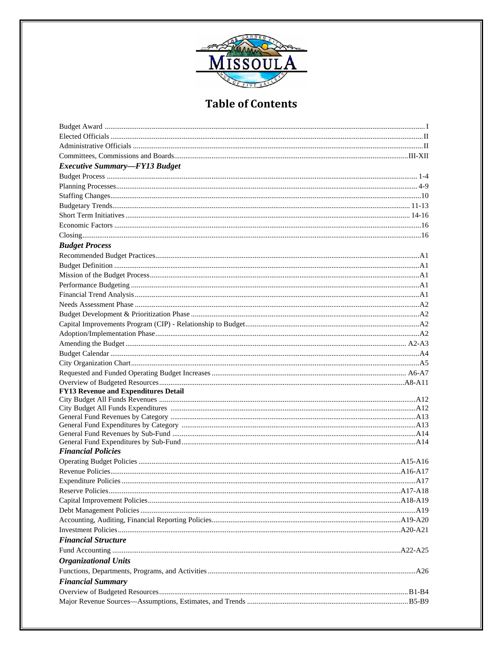

| <b>Executive Summary-FY13 Budget</b>        |  |
|---------------------------------------------|--|
|                                             |  |
|                                             |  |
|                                             |  |
|                                             |  |
|                                             |  |
|                                             |  |
|                                             |  |
| <b>Budget Process</b>                       |  |
|                                             |  |
|                                             |  |
|                                             |  |
|                                             |  |
|                                             |  |
|                                             |  |
|                                             |  |
|                                             |  |
|                                             |  |
|                                             |  |
|                                             |  |
|                                             |  |
|                                             |  |
|                                             |  |
| <b>FY13 Revenue and Expenditures Detail</b> |  |
|                                             |  |
|                                             |  |
|                                             |  |
|                                             |  |
|                                             |  |
|                                             |  |
| <b>Financial Policies</b>                   |  |
|                                             |  |
|                                             |  |
|                                             |  |
|                                             |  |
|                                             |  |
|                                             |  |
|                                             |  |
|                                             |  |
| <b>Financial Structure</b>                  |  |
|                                             |  |
| <b>Organizational Units</b>                 |  |
|                                             |  |
| <b>Financial Summary</b>                    |  |
|                                             |  |
|                                             |  |
|                                             |  |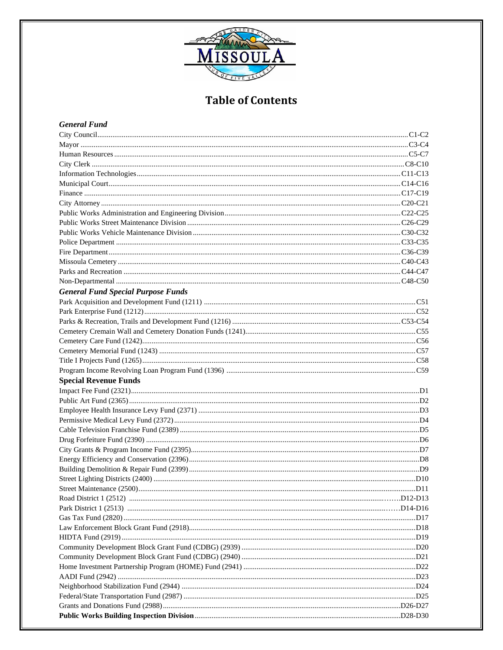

## **General Fund**

| <b>General Fund Special Purpose Funds</b> |  |
|-------------------------------------------|--|
|                                           |  |
|                                           |  |
|                                           |  |
|                                           |  |
|                                           |  |
|                                           |  |
|                                           |  |
|                                           |  |
|                                           |  |
|                                           |  |
| <b>Special Revenue Funds</b>              |  |
|                                           |  |
|                                           |  |
|                                           |  |
|                                           |  |
|                                           |  |
|                                           |  |
|                                           |  |
|                                           |  |
|                                           |  |
|                                           |  |
|                                           |  |
|                                           |  |
|                                           |  |
|                                           |  |
|                                           |  |
|                                           |  |
|                                           |  |
|                                           |  |
|                                           |  |
|                                           |  |
|                                           |  |
|                                           |  |
|                                           |  |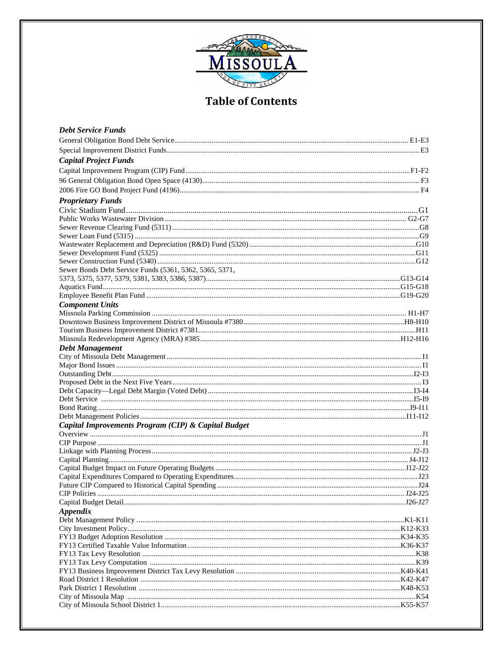

| <b>Debt Service Funds</b>                               |  |
|---------------------------------------------------------|--|
|                                                         |  |
|                                                         |  |
| <b>Capital Project Funds</b>                            |  |
|                                                         |  |
|                                                         |  |
|                                                         |  |
|                                                         |  |
| <b>Proprietary Funds</b>                                |  |
|                                                         |  |
|                                                         |  |
|                                                         |  |
|                                                         |  |
|                                                         |  |
|                                                         |  |
|                                                         |  |
| Sewer Bonds Debt Service Funds (5361, 5362, 5365, 5371, |  |
|                                                         |  |
|                                                         |  |
|                                                         |  |
| <b>Component Units</b>                                  |  |
|                                                         |  |
|                                                         |  |
|                                                         |  |
|                                                         |  |
| <b>Debt Management</b>                                  |  |
|                                                         |  |
|                                                         |  |
|                                                         |  |
|                                                         |  |
|                                                         |  |
|                                                         |  |
|                                                         |  |
|                                                         |  |
| Capital Improvements Program (CIP) & Capital Budget     |  |
|                                                         |  |
|                                                         |  |
|                                                         |  |
|                                                         |  |
|                                                         |  |
|                                                         |  |
|                                                         |  |
|                                                         |  |
|                                                         |  |
| <b>Appendix</b>                                         |  |
|                                                         |  |
|                                                         |  |
|                                                         |  |
|                                                         |  |
|                                                         |  |
|                                                         |  |
|                                                         |  |
|                                                         |  |
|                                                         |  |
|                                                         |  |
|                                                         |  |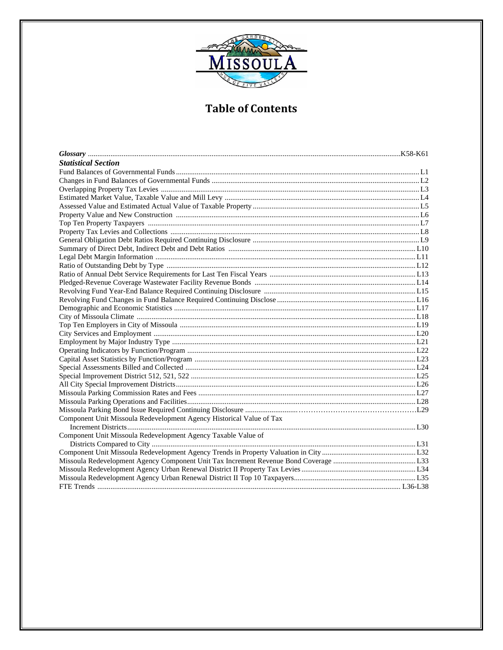

| <b>Statistical Section</b>                                           |  |
|----------------------------------------------------------------------|--|
|                                                                      |  |
|                                                                      |  |
|                                                                      |  |
|                                                                      |  |
|                                                                      |  |
|                                                                      |  |
|                                                                      |  |
|                                                                      |  |
|                                                                      |  |
|                                                                      |  |
|                                                                      |  |
|                                                                      |  |
|                                                                      |  |
|                                                                      |  |
|                                                                      |  |
|                                                                      |  |
|                                                                      |  |
|                                                                      |  |
|                                                                      |  |
|                                                                      |  |
|                                                                      |  |
|                                                                      |  |
|                                                                      |  |
|                                                                      |  |
|                                                                      |  |
|                                                                      |  |
|                                                                      |  |
|                                                                      |  |
|                                                                      |  |
| Component Unit Missoula Redevelopment Agency Historical Value of Tax |  |
|                                                                      |  |
| Component Unit Missoula Redevelopment Agency Taxable Value of        |  |
|                                                                      |  |
|                                                                      |  |
|                                                                      |  |
|                                                                      |  |
|                                                                      |  |
|                                                                      |  |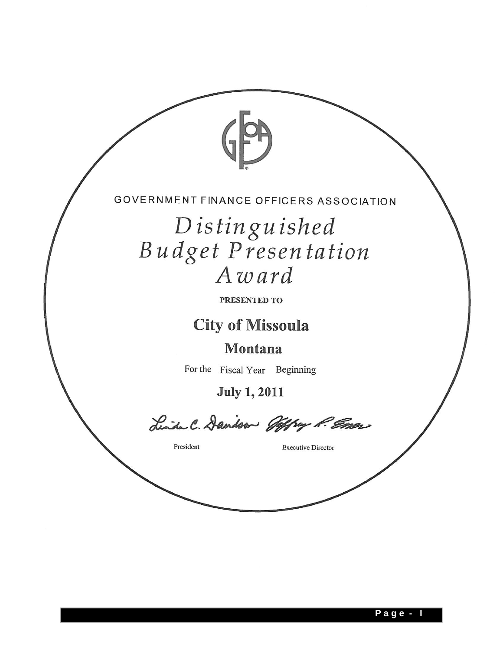

Distinguished Budget Presentation Award

PRESENTED TO

**City of Missoula** 

Montana

For the Fiscal Year Beginning

**July 1, 2011** 

Linda C. Davison Offray P. Emer

President

**Executive Director**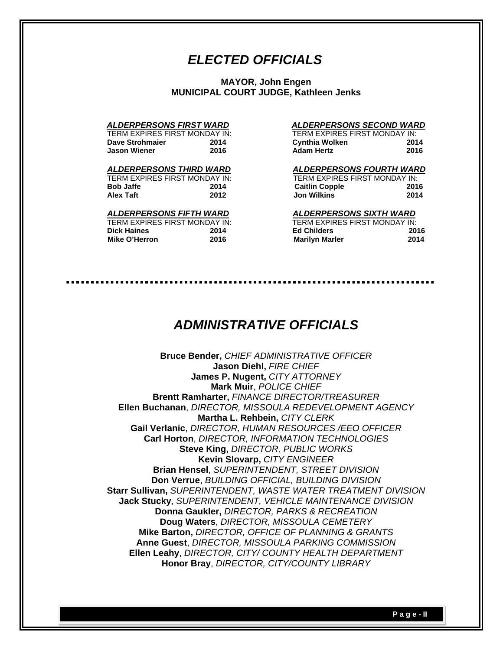# *ELECTED OFFICIALS*

**MAYOR, John Engen MUNICIPAL COURT JUDGE, Kathleen Jenks** 

| TERM EXPIRES FIRST MONDAY IN |      |
|------------------------------|------|
| Dave Strohmaier              | 2014 |
| Jason Wiener                 | 2016 |

| TERM EXPIRES FIRST MONDAY IN: |      | TERM EXPIRES FIRST MONDAY IN: |     |
|-------------------------------|------|-------------------------------|-----|
| Bob Jaffe                     | 2014 | <b>Caitlin Copple</b>         | 201 |
| Alex Taft                     | 2012 | Jon Wilkins                   | 201 |

#### *ALDERPERSONS FIFTH WARD ALDERPERSONS SIXTH WARD*

| TERM EXPIRES FIRST MONDAY IN |      |
|------------------------------|------|
| Dick Haines                  | 2014 |
| Mike O'Herron                | 2016 |

#### *ALDERPERSONS FIRST WARD ALDERPERSONS SECOND WARD*

| TERM EXPIRES FIRST MONDAY IN: |      | TERM EXPIRES FIRST MONDAY IN: |      |
|-------------------------------|------|-------------------------------|------|
| Dave Strohmaier               | 2014 | <b>Cynthia Wolken</b>         | 2014 |
| <b>Jason Wiener</b>           | 2016 | <b>Adam Hertz</b>             | 2016 |

#### *ALDERPERSONS THIRD WARD ALDERPERSONS FOURTH WARD*

| TERM EXPIRES FIRST MONDAY IN: |      | TERM EXPIRES FIRST MONDAY IN: |      |
|-------------------------------|------|-------------------------------|------|
| Bob Jaffe                     | 2014 | <b>Caitlin Copple</b>         | 2016 |
| Alex Taft                     | 2012 | <b>Jon Wilkins</b>            | 2014 |

| TERM EXPIRES FIRST MONDAY IN: |      | TERM EXPIRES FIRST MONDAY IN: |      |
|-------------------------------|------|-------------------------------|------|
| <b>Dick Haines</b>            | 2014 | <b>Ed Childers</b>            | 2016 |
| Mike O'Herron                 | 2016 | <b>Marilyn Marler</b>         | 2014 |

# *ADMINISTRATIVE OFFICIALS*

**Bruce Bender,** *CHIEF ADMINISTRATIVE OFFICER* **Jason Diehl,** *FIRE CHIEF* **James P. Nugent,** *CITY ATTORNEY* **Mark Muir**, *POLICE CHIEF*  **Brentt Ramharter,** *FINANCE DIRECTOR/TREASURER* **Ellen Buchanan**, *DIRECTOR, MISSOULA REDEVELOPMENT AGENCY* **Martha L. Rehbein,** *CITY CLERK*  **Gail Verlanic**, *DIRECTOR, HUMAN RESOURCES /EEO OFFICER* **Carl Horton**, *DIRECTOR, INFORMATION TECHNOLOGIES* **Steve King,** *DIRECTOR, PUBLIC WORKS* **Kevin Slovarp,** *CITY ENGINEER* **Brian Hensel**, *SUPERINTENDENT, STREET DIVISION*  **Don Verrue**, *BUILDING OFFICIAL, BUILDING DIVISION*  **Starr Sullivan,** *SUPERINTENDENT, WASTE WATER TREATMENT DIVISION* **Jack Stucky**, *SUPERINTENDENT, VEHICLE MAINTENANCE DIVISION*  **Donna Gaukler,** *DIRECTOR, PARKS & RECREATION* **Doug Waters**, *DIRECTOR, MISSOULA CEMETERY* **Mike Barton,** *DIRECTOR, OFFICE OF PLANNING & GRANTS*  **Anne Guest**, *DIRECTOR, MISSOULA PARKING COMMISSION*  **Ellen Leahy**, *DIRECTOR, CITY/ COUNTY HEALTH DEPARTMENT*  **Honor Bray**, *DIRECTOR, CITY/COUNTY LIBRARY*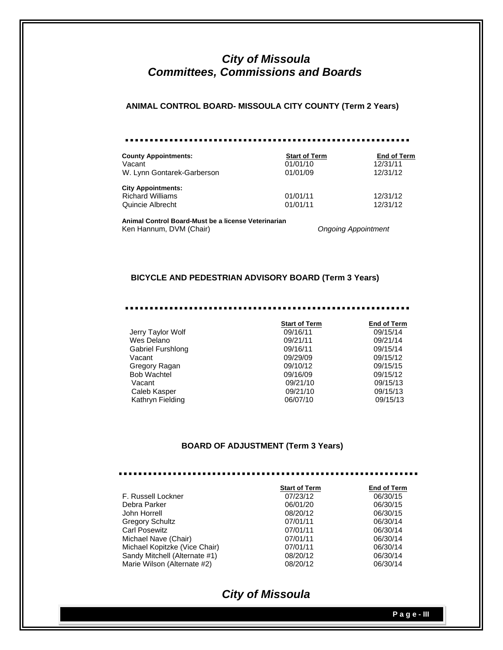# *City of Missoula Committees, Commissions and Boards*

#### **ANIMAL CONTROL BOARD- MISSOULA CITY COUNTY (Term 2 Years)**

| <b>County Appointments:</b> | <b>Start of Term</b> | <b>End of Term</b> |
|-----------------------------|----------------------|--------------------|
| Vacant                      | 01/01/10             | 12/31/11           |
| W. Lynn Gontarek-Garberson  | 01/01/09             | 12/31/12           |
| <b>City Appointments:</b>   |                      |                    |
| <b>Richard Williams</b>     | 01/01/11             | 12/31/12           |
| Quincie Albrecht            | 01/01/11             | 12/31/12           |

**Animal Control Board-Must be a license Veterinarian**  Ken Hannum, DVM (Chair) *Ongoing Appointment*

#### **BICYCLE AND PEDESTRIAN ADVISORY BOARD (Term 3 Years)**

#### ....................... ......

|                    | <b>Start of Term</b> | <b>End of Term</b> |
|--------------------|----------------------|--------------------|
| Jerry Taylor Wolf  | 09/16/11             | 09/15/14           |
| Wes Delano         | 09/21/11             | 09/21/14           |
| Gabriel Furshlong  | 09/16/11             | 09/15/14           |
| Vacant             | 09/29/09             | 09/15/12           |
| Gregory Ragan      | 09/10/12             | 09/15/15           |
| <b>Bob Wachtel</b> | 09/16/09             | 09/15/12           |
| Vacant             | 09/21/10             | 09/15/13           |
| Caleb Kasper       | 09/21/10             | 09/15/13           |
| Kathryn Fielding   | 06/07/10             | 09/15/13           |
|                    |                      |                    |

#### **BOARD OF ADJUSTMENT (Term 3 Years)**

. . . . . . . . . . . . . . . . . . . . . . . . . . . . . . . . . . . . . . . . . . .

|                               | <b>Start of Term</b> | <b>End of Term</b> |
|-------------------------------|----------------------|--------------------|
| F. Russell Lockner            | 07/23/12             | 06/30/15           |
| Debra Parker                  | 06/01/20             | 06/30/15           |
| John Horrell                  | 08/20/12             | 06/30/15           |
| <b>Gregory Schultz</b>        | 07/01/11             | 06/30/14           |
| <b>Carl Posewitz</b>          | 07/01/11             | 06/30/14           |
| Michael Nave (Chair)          | 07/01/11             | 06/30/14           |
| Michael Kopitzke (Vice Chair) | 07/01/11             | 06/30/14           |
| Sandy Mitchell (Alternate #1) | 08/20/12             | 06/30/14           |
| Marie Wilson (Alternate #2)   | 08/20/12             | 06/30/14           |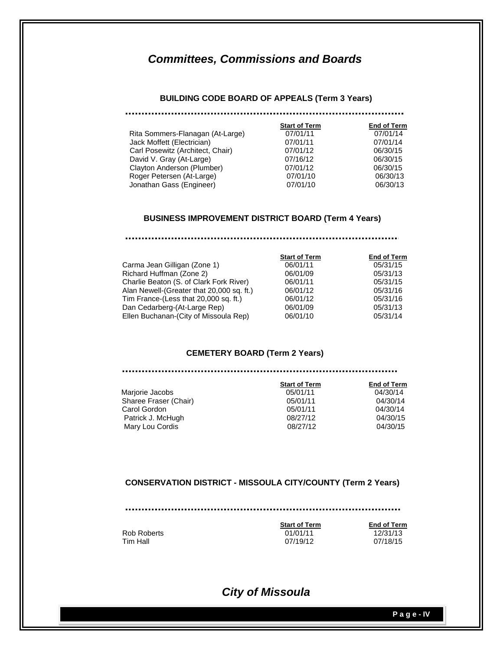#### **BUILDING CODE BOARD OF APPEALS (Term 3 Years)**

|                                  | <b>Start of Term</b> | <b>End of Term</b> |
|----------------------------------|----------------------|--------------------|
| Rita Sommers-Flanagan (At-Large) | 07/01/11             | 07/01/14           |
| Jack Moffett (Electrician)       | 07/01/11             | 07/01/14           |
| Carl Posewitz (Architect, Chair) | 07/01/12             | 06/30/15           |
| David V. Gray (At-Large)         | 07/16/12             | 06/30/15           |
| Clayton Anderson (Plumber)       | 07/01/12             | 06/30/15           |
| Roger Petersen (At-Large)        | 07/01/10             | 06/30/13           |
| Jonathan Gass (Engineer)         | 07/01/10             | 06/30/13           |

#### **BUSINESS IMPROVEMENT DISTRICT BOARD (Term 4 Years)**

#### 

|                                           | <b>Start of Term</b> | <b>End of Term</b> |
|-------------------------------------------|----------------------|--------------------|
| Carma Jean Gilligan (Zone 1)              | 06/01/11             | 05/31/15           |
| Richard Huffman (Zone 2)                  | 06/01/09             | 05/31/13           |
| Charlie Beaton (S. of Clark Fork River)   | 06/01/11             | 05/31/15           |
| Alan Newell-(Greater that 20,000 sq. ft.) | 06/01/12             | 05/31/16           |
| Tim France-(Less that 20,000 sq. ft.)     | 06/01/12             | 05/31/16           |
| Dan Cedarberg-(At-Large Rep)              | 06/01/09             | 05/31/13           |
| Ellen Buchanan-(City of Missoula Rep)     | 06/01/10             | 05/31/14           |
|                                           |                      |                    |

#### **CEMETERY BOARD (Term 2 Years)**

|                       | <b>Start of Term</b> | <b>End of Term</b> |
|-----------------------|----------------------|--------------------|
| Marjorie Jacobs       | 05/01/11             | 04/30/14           |
| Sharee Fraser (Chair) | 05/01/11             | 04/30/14           |
| Carol Gordon          | 05/01/11             | 04/30/14           |
| Patrick J. McHugh     | 08/27/12             | 04/30/15           |
| Mary Lou Cordis       | 08/27/12             | 04/30/15           |

#### **CONSERVATION DISTRICT - MISSOULA CITY/COUNTY (Term 2 Years)**

**Start of Term**<br>01/01/11<br>12/31/13 Rob Roberts **12/31/13**<br>Tim Hall **12/31/13**<br>07/19/12 07/18/15 07/19/12

# *City of Missoula*

 **P a g e - IV**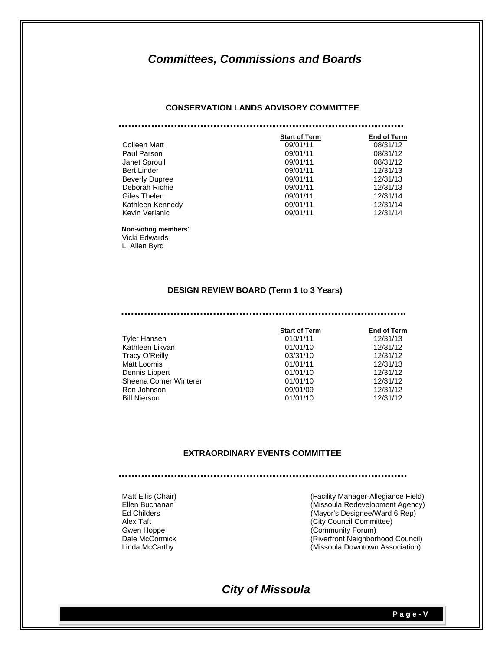#### **CONSERVATION LANDS ADVISORY COMMITTEE**

|                       | <b>Start of Term</b> | <b>End of Term</b> |
|-----------------------|----------------------|--------------------|
| Colleen Matt          | 09/01/11             | 08/31/12           |
|                       |                      |                    |
| Paul Parson           | 09/01/11             | 08/31/12           |
| Janet Sproull         | 09/01/11             | 08/31/12           |
| <b>Bert Linder</b>    | 09/01/11             | 12/31/13           |
| <b>Beverly Dupree</b> | 09/01/11             | 12/31/13           |
| Deborah Richie        | 09/01/11             | 12/31/13           |
| Giles Thelen          | 09/01/11             | 12/31/14           |
| Kathleen Kennedy      | 09/01/11             | 12/31/14           |
| Kevin Verlanic        | 09/01/11             | 12/31/14           |

#### **Non-voting members**: Vicki Edwards

L. Allen Byrd

#### **DESIGN REVIEW BOARD (Term 1 to 3 Years)**

#### 

|                       | <b>Start of Term</b> | <b>End of Term</b> |
|-----------------------|----------------------|--------------------|
| <b>Tyler Hansen</b>   | 010/1/11             | 12/31/13           |
| Kathleen Likvan       | 01/01/10             | 12/31/12           |
| Tracy O'Reilly        | 03/31/10             | 12/31/12           |
| Matt Loomis           | 01/01/11             | 12/31/13           |
| Dennis Lippert        | 01/01/10             | 12/31/12           |
| Sheena Comer Winterer | 01/01/10             | 12/31/12           |
| Ron Johnson           | 09/01/09             | 12/31/12           |
| <b>Bill Nierson</b>   | 01/01/10             | 12/31/12           |

#### **EXTRAORDINARY EVENTS COMMITTEE**

Matt Ellis (Chair) **Matt Ellis (Chair)** (Facility Manager-Allegiance Field) Ellen Buchanan(Missoula Redevelopment Agency) (Mayor's Designee/Ward 6 Rep) Alex Taft **Alex Taft** (City Council Committee) Gwen Hoppe (Community Forum)<br>
Dale McCormick (Riverfront Neighborl Dale McCormick (Riverfront Neighborhood Council)<br>
Linda McCarthy (Missoula Downtown Association)  $(Missoula$  Downtown Association)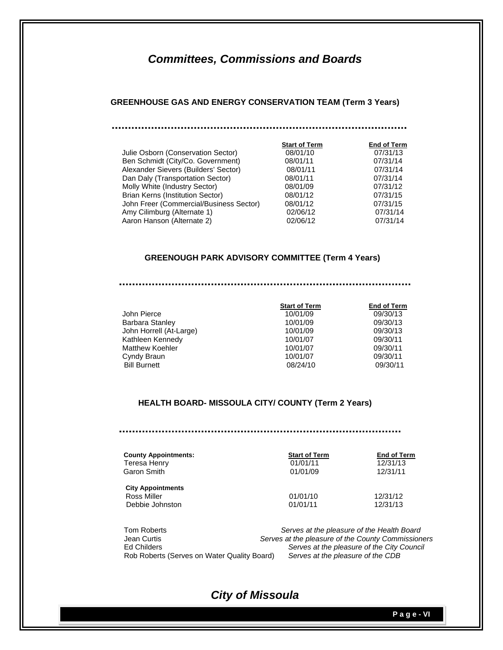#### **GREENHOUSE GAS AND ENERGY CONSERVATION TEAM (Term 3 Years)**

|                                         | <b>Start of Term</b> | <b>End of Term</b> |
|-----------------------------------------|----------------------|--------------------|
| Julie Osborn (Conservation Sector)      | 08/01/10             | 07/31/13           |
| Ben Schmidt (City/Co. Government)       | 08/01/11             | 07/31/14           |
| Alexander Sievers (Builders' Sector)    | 08/01/11             | 07/31/14           |
| Dan Daly (Transportation Sector)        | 08/01/11             | 07/31/14           |
| Molly White (Industry Sector)           | 08/01/09             | 07/31/12           |
| Brian Kerns (Institution Sector)        | 08/01/12             | 07/31/15           |
| John Freer (Commercial/Business Sector) | 08/01/12             | 07/31/15           |
| Amy Cilimburg (Alternate 1)             | 02/06/12             | 07/31/14           |
| Aaron Hanson (Alternate 2)              | 02/06/12             | 07/31/14           |

## **GREENOUGH PARK ADVISORY COMMITTEE (Term 4 Years)**

|                         | <b>Start of Term</b> | <b>End of Term</b> |
|-------------------------|----------------------|--------------------|
| John Pierce             | 10/01/09             | 09/30/13           |
| Barbara Stanley         | 10/01/09             | 09/30/13           |
| John Horrell (At-Large) | 10/01/09             | 09/30/13           |
| Kathleen Kennedy        | 10/01/07             | 09/30/11           |
| <b>Matthew Koehler</b>  | 10/01/07             | 09/30/11           |
| Cyndy Braun             | 10/01/07             | 09/30/11           |
| <b>Bill Burnett</b>     | 08/24/10             | 09/30/11           |

## **HEALTH BOARD- MISSOULA CITY/ COUNTY (Term 2 Years)**

| <b>County Appointments:</b>                                | <b>Start of Term</b> | <b>End of Term</b>   |
|------------------------------------------------------------|----------------------|----------------------|
| Teresa Henry                                               | 01/01/11             | 12/31/13             |
| Garon Smith                                                | 01/01/09             | 12/31/11             |
| <b>City Appointments</b><br>Ross Miller<br>Debbie Johnston | 01/01/10<br>01/01/11 | 12/31/12<br>12/31/13 |

| Tom Roberts                                 | Serves at the pleasure of the Health Board         |
|---------------------------------------------|----------------------------------------------------|
| Jean Curtis                                 | Serves at the pleasure of the County Commissioners |
| Ed Childers                                 | Serves at the pleasure of the City Council         |
| Rob Roberts (Serves on Water Quality Board) | Serves at the pleasure of the CDB                  |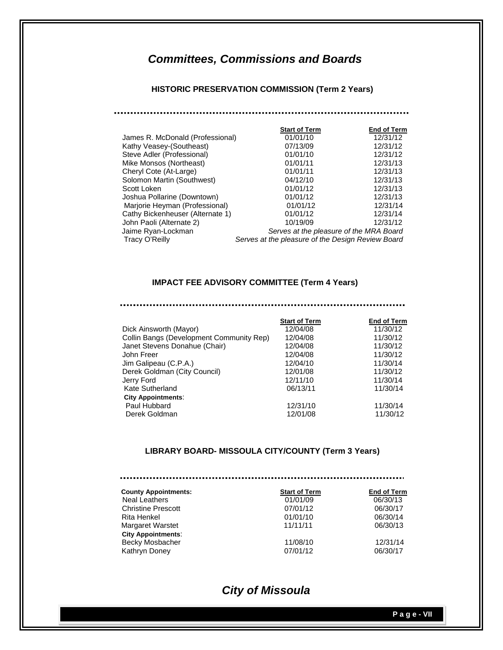## **HISTORIC PRESERVATION COMMISSION (Term 2 Years)**

|                                  | <b>Start of Term</b>                              | <b>End of Term</b> |
|----------------------------------|---------------------------------------------------|--------------------|
| James R. McDonald (Professional) | 01/01/10                                          | 12/31/12           |
| Kathy Veasey-(Southeast)         | 07/13/09                                          | 12/31/12           |
| Steve Adler (Professional)       | 01/01/10                                          | 12/31/12           |
|                                  |                                                   | 12/31/13           |
| Mike Monsos (Northeast)          | 01/01/11                                          |                    |
| Cheryl Cote (At-Large)           | 01/01/11                                          | 12/31/13           |
| Solomon Martin (Southwest)       | 04/12/10                                          | 12/31/13           |
| Scott Loken                      | 01/01/12                                          | 12/31/13           |
| Joshua Pollarine (Downtown)      | 01/01/12                                          | 12/31/13           |
| Marjorie Heyman (Professional)   | 01/01/12                                          | 12/31/14           |
| Cathy Bickenheuser (Alternate 1) | 01/01/12                                          | 12/31/14           |
| John Paoli (Alternate 2)         | 10/19/09                                          | 12/31/12           |
| Jaime Ryan-Lockman               | Serves at the pleasure of the MRA Board           |                    |
| Tracy O'Reilly                   | Serves at the pleasure of the Design Review Board |                    |

#### **IMPACT FEE ADVISORY COMMITTEE (Term 4 Years)**

#### .................. ...........

|                                          | <b>Start of Term</b> | <b>End of Term</b> |
|------------------------------------------|----------------------|--------------------|
| Dick Ainsworth (Mayor)                   | 12/04/08             | 11/30/12           |
| Collin Bangs (Development Community Rep) | 12/04/08             | 11/30/12           |
| Janet Stevens Donahue (Chair)            | 12/04/08             | 11/30/12           |
| John Freer                               | 12/04/08             | 11/30/12           |
| Jim Galipeau (C.P.A.)                    | 12/04/10             | 11/30/14           |
| Derek Goldman (City Council)             | 12/01/08             | 11/30/12           |
| Jerry Ford                               | 12/11/10             | 11/30/14           |
| Kate Sutherland                          | 06/13/11             | 11/30/14           |
| <b>City Appointments:</b>                |                      |                    |
| Paul Hubbard                             | 12/31/10             | 11/30/14           |
| Derek Goldman                            | 12/01/08             | 11/30/12           |
|                                          |                      |                    |

## **LIBRARY BOARD- MISSOULA CITY/COUNTY (Term 3 Years)**

| <b>County Appointments:</b> | <b>Start of Term</b> | <b>End of Term</b> |
|-----------------------------|----------------------|--------------------|
| <b>Neal Leathers</b>        | 01/01/09             | 06/30/13           |
| <b>Christine Prescott</b>   | 07/01/12             | 06/30/17           |
| Rita Henkel                 | 01/01/10             | 06/30/14           |
| <b>Margaret Warstet</b>     | 11/11/11             | 06/30/13           |
| <b>City Appointments:</b>   |                      |                    |
| Becky Mosbacher             | 11/08/10             | 12/31/14           |
| Kathryn Doney               | 07/01/12             | 06/30/17           |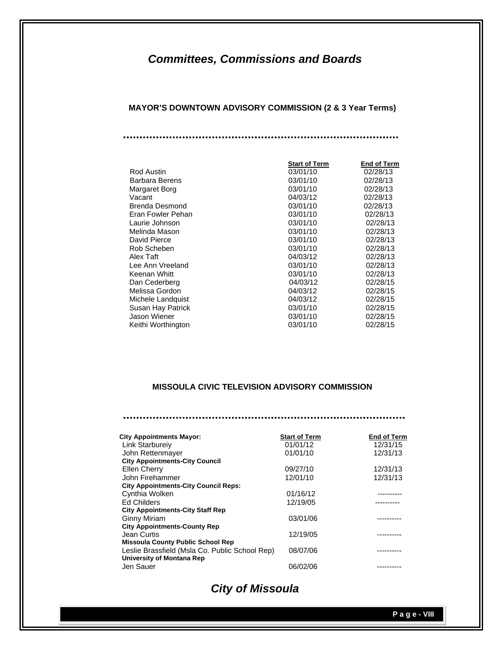**MAYOR'S DOWNTOWN ADVISORY COMMISSION (2 & 3 Year Terms)** 

|                    | <b>Start of Term</b> | End of Term |
|--------------------|----------------------|-------------|
| <b>Rod Austin</b>  | 03/01/10             | 02/28/13    |
| Barbara Berens     | 03/01/10             | 02/28/13    |
| Margaret Borg      | 03/01/10             | 02/28/13    |
| Vacant             | 04/03/12             | 02/28/13    |
| Brenda Desmond     | 03/01/10             | 02/28/13    |
| Eran Fowler Pehan  | 03/01/10             | 02/28/13    |
| Laurie Johnson     | 03/01/10             | 02/28/13    |
| Melinda Mason      | 03/01/10             | 02/28/13    |
| David Pierce       | 03/01/10             | 02/28/13    |
| Rob Scheben        | 03/01/10             | 02/28/13    |
| Alex Taft          | 04/03/12             | 02/28/13    |
| Lee Ann Vreeland   | 03/01/10             | 02/28/13    |
| Keenan Whitt       | 03/01/10             | 02/28/13    |
| Dan Cederberg      | 04/03/12             | 02/28/15    |
| Melissa Gordon     | 04/03/12             | 02/28/15    |
| Michele Landquist  | 04/03/12             | 02/28/15    |
| Susan Hay Patrick  | 03/01/10             | 02/28/15    |
| Jason Wiener       | 03/01/10             | 02/28/15    |
| Keithi Worthington | 03/01/10             | 02/28/15    |

## **MISSOULA CIVIC TELEVISION ADVISORY COMMISSION**

| <b>City Appointments Mayor:</b>                | <b>Start of Term</b> | End of Term |
|------------------------------------------------|----------------------|-------------|
| <b>Link Starbureiv</b>                         | 01/01/12             | 12/31/15    |
| John Rettenmayer                               | 01/01/10             | 12/31/13    |
| <b>City Appointments-City Council</b>          |                      |             |
| Ellen Cherry                                   | 09/27/10             | 12/31/13    |
| John Firehammer                                | 12/01/10             | 12/31/13    |
| <b>City Appointments-City Council Reps:</b>    |                      |             |
| Cynthia Wolken                                 | 01/16/12             |             |
| <b>Ed Childers</b>                             | 12/19/05             |             |
| <b>City Appointments-City Staff Rep</b>        |                      |             |
| <b>Ginny Miriam</b>                            | 03/01/06             |             |
| <b>City Appointments-County Rep</b>            |                      |             |
| Jean Curtis                                    | 12/19/05             |             |
| <b>Missoula County Public School Rep</b>       |                      |             |
| Leslie Brassfield (Msla Co. Public School Rep) | 08/07/06             |             |
| <b>University of Montana Rep</b>               |                      |             |
| Jen Sauer                                      | 06/02/06             |             |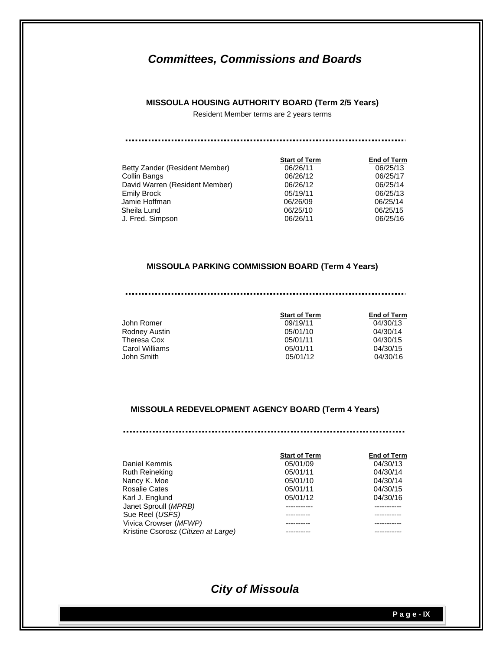#### **MISSOULA HOUSING AUTHORITY BOARD (Term 2/5 Years)**

Resident Member terms are 2 years terms

|                                | <b>Start of Term</b> | <b>End of Term</b> |
|--------------------------------|----------------------|--------------------|
| Betty Zander (Resident Member) | 06/26/11             | 06/25/13           |
| Collin Bangs                   | 06/26/12             | 06/25/17           |
| David Warren (Resident Member) | 06/26/12             | 06/25/14           |
| Emily Brock                    | 05/19/11             | 06/25/13           |
| Jamie Hoffman                  | 06/26/09             | 06/25/14           |
| Sheila Lund                    | 06/25/10             | 06/25/15           |
| J. Fred. Simpson               | 06/26/11             | 06/25/16           |
|                                |                      |                    |

#### **MISSOULA PARKING COMMISSION BOARD (Term 4 Years)**

| John Romer     | 09/19/11 | 04/30/13 |
|----------------|----------|----------|
| Rodney Austin  | 05/01/10 | 04/30/14 |
| Theresa Cox    | 05/01/11 | 04/30/15 |
| Carol Williams | 05/01/11 | 04/30/15 |
| John Smith.    | 05/01/12 | 04/30/16 |

05/01/10 04/30/14 05/01/11 04/30/15 05/01/11 04/30/15<br>05/01/12 04/30/16 05/01/12

 **Start of Term End of Term** 

#### **MISSOULA REDEVELOPMENT AGENCY BOARD (Term 4 Years)**

|                                     | <b>Start of Term</b> | <b>End of Term</b> |
|-------------------------------------|----------------------|--------------------|
| Daniel Kemmis                       | 05/01/09             | 04/30/13           |
| <b>Ruth Reineking</b>               | 05/01/11             | 04/30/14           |
| Nancy K. Moe                        | 05/01/10             | 04/30/14           |
| <b>Rosalie Cates</b>                | 05/01/11             | 04/30/15           |
| Karl J. Englund                     | 05/01/12             | 04/30/16           |
| Janet Sproull (MPRB)                |                      |                    |
| Sue Reel (USFS)                     |                      |                    |
| Vivica Crowser (MFWP)               |                      |                    |
| Kristine Csorosz (Citizen at Large) |                      |                    |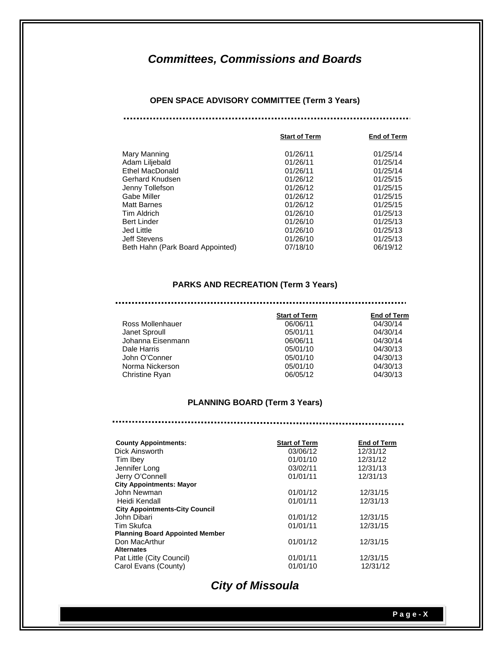#### **OPEN SPACE ADVISORY COMMITTEE (Term 3 Years)**

|                                  | <b>Start of Term</b> | <b>End of Term</b> |
|----------------------------------|----------------------|--------------------|
| Mary Manning                     | 01/26/11             | 01/25/14           |
| Adam Liljebald                   | 01/26/11             | 01/25/14           |
| <b>Ethel MacDonald</b>           | 01/26/11             | 01/25/14           |
| Gerhard Knudsen                  | 01/26/12             | 01/25/15           |
| Jenny Tollefson                  | 01/26/12             | 01/25/15           |
| Gabe Miller                      | 01/26/12             | 01/25/15           |
| Matt Barnes                      | 01/26/12             | 01/25/15           |
| Tim Aldrich                      | 01/26/10             | 01/25/13           |
| <b>Bert Linder</b>               | 01/26/10             | 01/25/13           |
| Jed Little                       | 01/26/10             | 01/25/13           |
| Jeff Stevens                     | 01/26/10             | 01/25/13           |
| Beth Hahn (Park Board Appointed) | 07/18/10             | 06/19/12           |
|                                  |                      |                    |

#### **PARKS AND RECREATION (Term 3 Years)**

|                   | <b>Start of Term</b> | <b>End of Term</b> |
|-------------------|----------------------|--------------------|
| Ross Mollenhauer  | 06/06/11             | 04/30/14           |
| Janet Sproull     | 05/01/11             | 04/30/14           |
| Johanna Eisenmann | 06/06/11             | 04/30/14           |
| Dale Harris       | 05/01/10             | 04/30/13           |
| John O'Conner     | 05/01/10             | 04/30/13           |
| Norma Nickerson   | 05/01/10             | 04/30/13           |
| Christine Ryan    | 06/05/12             | 04/30/13           |

#### **PLANNING BOARD (Term 3 Years)**

| <b>County Appointments:</b>            | <b>Start of Term</b> | <b>End of Term</b> |
|----------------------------------------|----------------------|--------------------|
| Dick Ainsworth                         | 03/06/12             | 12/31/12           |
| Tim Ibey                               | 01/01/10             | 12/31/12           |
| Jennifer Long                          | 03/02/11             | 12/31/13           |
| Jerry O'Connell                        | 01/01/11             | 12/31/13           |
| <b>City Appointments: Mayor</b>        |                      |                    |
| John Newman                            | 01/01/12             | 12/31/15           |
| Heidi Kendall                          | 01/01/11             | 12/31/13           |
| <b>City Appointments-City Council</b>  |                      |                    |
| John Dibari                            | 01/01/12             | 12/31/15           |
| Tim Skufca                             | 01/01/11             | 12/31/15           |
| <b>Planning Board Appointed Member</b> |                      |                    |
| Don MacArthur                          | 01/01/12             | 12/31/15           |
| <b>Alternates</b>                      |                      |                    |
| Pat Little (City Council)              | 01/01/11             | 12/31/15           |
| Carol Evans (County)                   | 01/01/10             | 12/31/12           |
|                                        |                      |                    |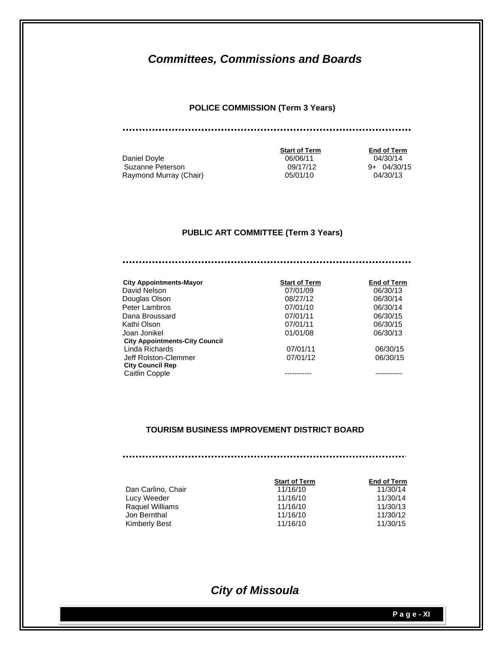#### **POLICE COMMISSION (Term 3 Years)**

Daniel Doyle **06/06/11** 06/06/11 04/30/14 Suzanne Peterson 09/17/12 9+ 04/30/15 Raymond Murray (Chair) 1988 1998 105/01/10 14/30/13

 **Start of Term End of Term** 

#### **PUBLIC ART COMMITTEE (Term 3 Years)**

| <b>City Appointments-Mayor</b>        | <b>Start of Term</b> | <b>End of Term</b> |
|---------------------------------------|----------------------|--------------------|
| David Nelson                          | 07/01/09             | 06/30/13           |
| Douglas Olson                         | 08/27/12             | 06/30/14           |
| Peter Lambros                         | 07/01/10             | 06/30/14           |
| Dana Broussard                        | 07/01/11             | 06/30/15           |
| Kathi Olson                           | 07/01/11             | 06/30/15           |
| Joan Jonikel                          | 01/01/08             | 06/30/13           |
| <b>City Appointments-City Council</b> |                      |                    |
| Linda Richards                        | 07/01/11             | 06/30/15           |
| Jeff Rolston-Clemmer                  | 07/01/12             | 06/30/15           |
| <b>City Council Rep</b>               |                      |                    |
| Caitlin Copple                        |                      |                    |

#### **TOURISM BUSINESS IMPROVEMENT DISTRICT BOARD**

|                    | <b>Start of Term</b> | <b>End of Term</b> |
|--------------------|----------------------|--------------------|
| Dan Carlino, Chair | 11/16/10             | 11/30/14           |
| Lucy Weeder        | 11/16/10             | 11/30/14           |
| Raquel Williams    | 11/16/10             | 11/30/13           |
| Jon Bernthal       | 11/16/10             | 11/30/12           |
| Kimberly Best      | 11/16/10             | 11/30/15           |